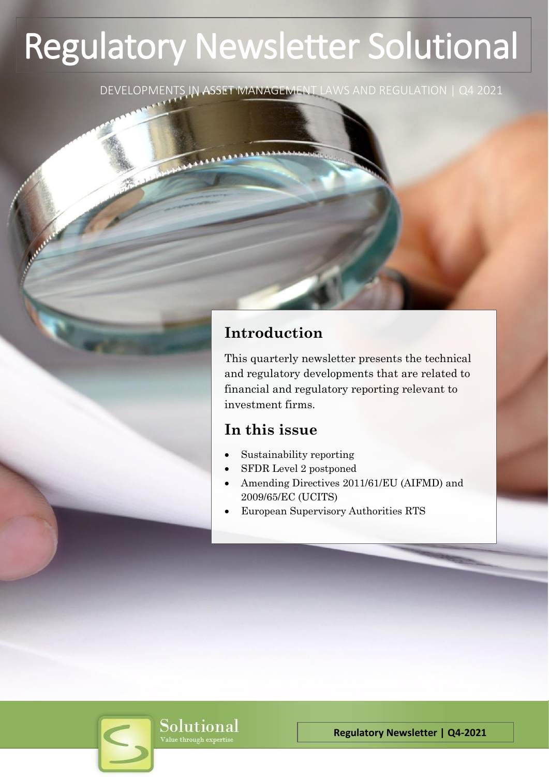# Regulatory Newsletter Solutional

DEVELOPMENTS IN ASSET MANAGEMENT LAWS AND REGULATION | Q4 2021

# **Introduction**

This quarterly newsletter presents the technical and regulatory developments that are related to financial and regulatory reporting relevant to investment firms.

# **In this issue**

- Sustainability reporting
- SFDR Level 2 postponed
- Amending Directives 2011/61/EU (AIFMD) and 2009/65/EC (UCITS)
- European Supervisory Authorities RTS

Solutional Value through expertise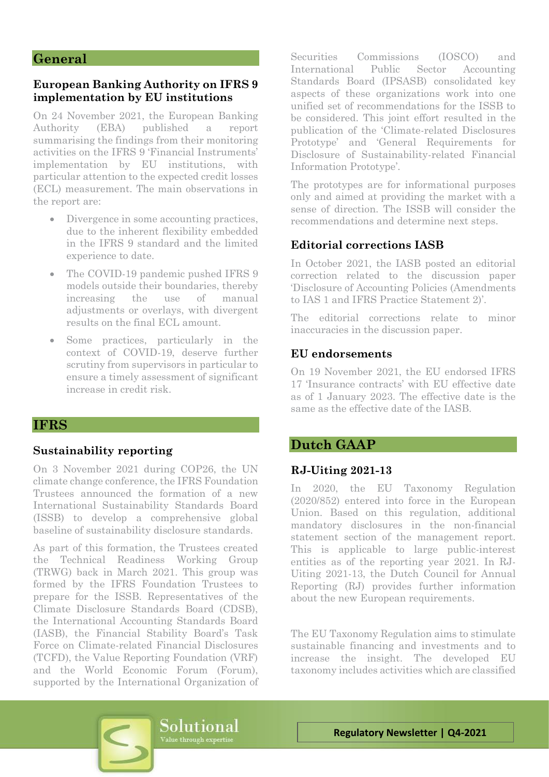#### **General**

#### **European Banking Authority on IFRS 9 implementation by EU institutions**

On 24 November 2021, the European Banking Authority (EBA) published a report summarising the findings from their monitoring activities on the IFRS 9 'Financial Instruments' implementation by EU institutions, with particular attention to the expected credit losses (ECL) measurement. The main observations in the report are:

- Divergence in some accounting practices, due to the inherent flexibility embedded in the IFRS 9 standard and the limited experience to date.
- The COVID-19 pandemic pushed IFRS 9 models outside their boundaries, thereby increasing the use of manual adjustments or overlays, with divergent results on the final ECL amount.
- Some practices, particularly in the context of COVID-19, deserve further scrutiny from supervisors in particular to ensure a timely assessment of significant increase in credit risk.

# **IFRS**

#### **Sustainability reporting**

On 3 November 2021 during COP26, the UN climate change conference, the IFRS Foundation Trustees announced the formation of a new International Sustainability Standards Board (ISSB) to develop a comprehensive global baseline of sustainability disclosure standards.

As part of this formation, the Trustees created the Technical Readiness Working Group (TRWG) back in March 2021. This group was formed by the IFRS Foundation Trustees to prepare for the ISSB. Representatives of the Climate Disclosure Standards Board (CDSB), the International Accounting Standards Board (IASB), the Financial Stability Board's Task Force on Climate-related Financial Disclosures (TCFD), the Value Reporting Foundation (VRF) and the World Economic Forum (Forum), supported by the International Organization of Securities Commissions (IOSCO) and International Public Sector Accounting Standards Board (IPSASB) consolidated key aspects of these organizations work into one unified set of recommendations for the ISSB to be considered. This joint effort resulted in the publication of the 'Climate-related Disclosures Prototype' and 'General Requirements for Disclosure of Sustainability-related Financial Information Prototype'.

The prototypes are for informational purposes only and aimed at providing the market with a sense of direction. The ISSB will consider the recommendations and determine next steps.

## **Editorial corrections IASB**

In October 2021, the IASB posted an editorial correction related to the discussion paper 'Disclosure of Accounting Policies (Amendments to IAS 1 and IFRS Practice Statement 2)'.

The editorial corrections relate to minor inaccuracies in the discussion paper.

#### **EU endorsements**

On 19 November 2021, the EU endorsed IFRS 17 'Insurance contracts' with EU effective date as of 1 January 2023. The effective date is the same as the effective date of the IASB.

# **Dutch GAAP**

#### **RJ-Uiting 2021-13**

In 2020, the EU Taxonomy Regulation (2020/852) entered into force in the European Union. Based on this regulation, additional mandatory disclosures in the non-financial statement section of the management report. This is applicable to large public-interest entities as of the reporting year 2021. In RJ-Uiting 2021-13, the Dutch Council for Annual Reporting (RJ) provides further information about the new European requirements.

The EU Taxonomy Regulation aims to stimulate sustainable financing and investments and to increase the insight. The developed EU taxonomy includes activities which are classified

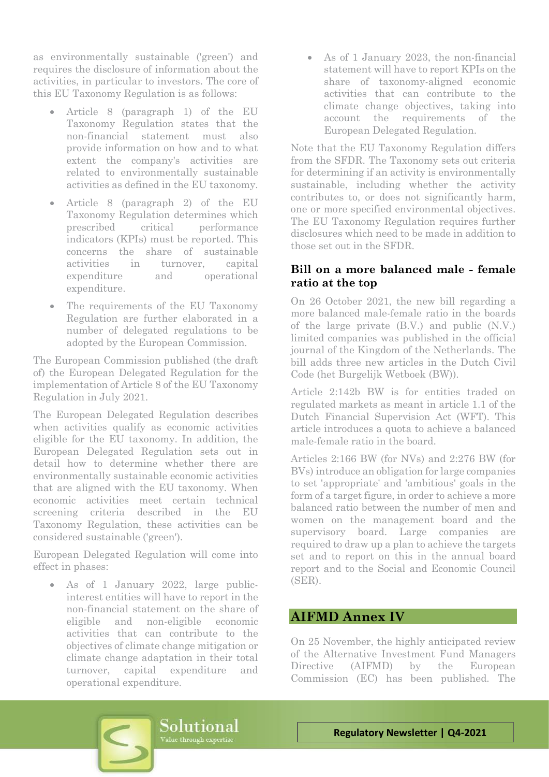as environmentally sustainable ('green') and requires the disclosure of information about the activities, in particular to investors. The core of this EU Taxonomy Regulation is as follows:

- Article 8 (paragraph 1) of the EU Taxonomy Regulation states that the non-financial statement must also provide information on how and to what extent the company's activities are related to environmentally sustainable activities as defined in the EU taxonomy.
- Article 8 (paragraph 2) of the EU Taxonomy Regulation determines which prescribed critical performance indicators (KPIs) must be reported. This concerns the share of sustainable activities in turnover, capital expenditure and operational expenditure.
- The requirements of the EU Taxonomy Regulation are further elaborated in a number of delegated regulations to be adopted by the European Commission.

The European Commission published (the draft of) the European Delegated Regulation for the implementation of Article 8 of the EU Taxonomy Regulation in July 2021.

The European Delegated Regulation describes when activities qualify as economic activities eligible for the EU taxonomy. In addition, the European Delegated Regulation sets out in detail how to determine whether there are environmentally sustainable economic activities that are aligned with the EU taxonomy. When economic activities meet certain technical screening criteria described in the EU Taxonomy Regulation, these activities can be considered sustainable ('green').

European Delegated Regulation will come into effect in phases:

• As of 1 January 2022, large publicinterest entities will have to report in the non-financial statement on the share of eligible and non-eligible economic activities that can contribute to the objectives of climate change mitigation or climate change adaptation in their total turnover, capital expenditure and operational expenditure.

• As of 1 January 2023, the non-financial statement will have to report KPIs on the share of taxonomy-aligned economic activities that can contribute to the climate change objectives, taking into account the requirements of the European Delegated Regulation.

Note that the EU Taxonomy Regulation differs from the SFDR. The Taxonomy sets out criteria for determining if an activity is environmentally sustainable, including whether the activity contributes to, or does not significantly harm, one or more specified environmental objectives. The EU Taxonomy Regulation requires further disclosures which need to be made in addition to those set out in the SFDR.

# **Bill on a more balanced male - female ratio at the top**

On 26 October 2021, the new bill regarding a more balanced male-female ratio in the boards of the large private (B.V.) and public (N.V.) limited companies was published in the official journal of the Kingdom of the Netherlands. The bill adds three new articles in the Dutch Civil Code (het Burgelijk Wetboek (BW)).

Article 2:142b BW is for entities traded on regulated markets as meant in article 1.1 of the Dutch Financial Supervision Act (WFT). This article introduces a quota to achieve a balanced male-female ratio in the board.

Articles 2:166 BW (for NVs) and 2:276 BW (for BVs) introduce an obligation for large companies to set 'appropriate' and 'ambitious' goals in the form of a target figure, in order to achieve a more balanced ratio between the number of men and women on the management board and the supervisory board. Large companies are required to draw up a plan to achieve the targets set and to report on this in the annual board report and to the Social and Economic Council (SER).

# **AIFMD Annex IV**

On 25 November, the highly anticipated review of the Alternative Investment Fund Managers Directive (AIFMD) by the European Commission (EC) has been published. The

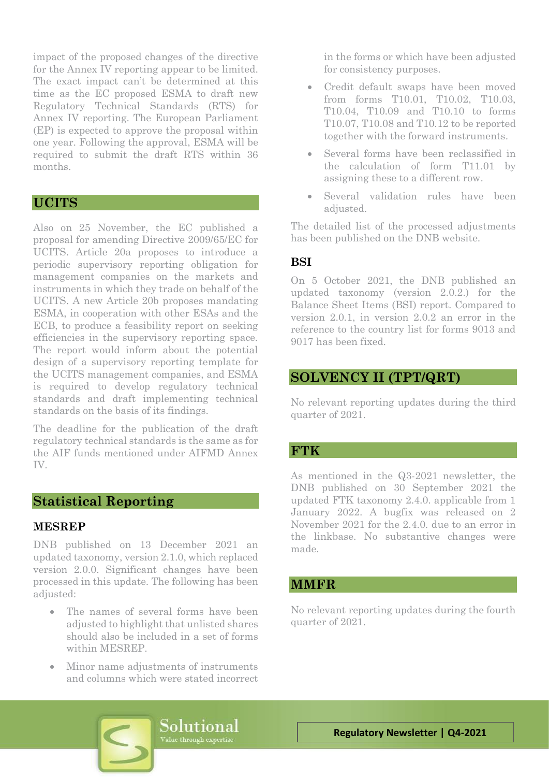impact of the proposed changes of the directive for the Annex IV reporting appear to be limited. The exact impact can't be determined at this time as the EC proposed ESMA to draft new Regulatory Technical Standards (RTS) for Annex IV reporting. The European Parliament (EP) is expected to approve the proposal within one year. Following the approval, ESMA will be required to submit the draft RTS within 36 months.

# **UCITS**

Also on 25 November, the EC published a proposal for amending Directive 2009/65/EC for UCITS. Article 20a proposes to introduce a periodic supervisory reporting obligation for management companies on the markets and instruments in which they trade on behalf of the UCITS. A new Article 20b proposes mandating ESMA, in cooperation with other ESAs and the ECB, to produce a feasibility report on seeking efficiencies in the supervisory reporting space. The report would inform about the potential design of a supervisory reporting template for the UCITS management companies, and ESMA is required to develop regulatory technical standards and draft implementing technical standards on the basis of its findings.

The deadline for the publication of the draft regulatory technical standards is the same as for the AIF funds mentioned under AIFMD Annex IV.

# **Statistical Reporting**

#### **MESREP**

DNB published on 13 December 2021 an updated taxonomy, version 2.1.0, which replaced version 2.0.0. Significant changes have been processed in this update. The following has been adjusted:

- The names of several forms have been adjusted to highlight that unlisted shares should also be included in a set of forms within MESREP.
- Minor name adjustments of instruments and columns which were stated incorrect

in the forms or which have been adjusted for consistency purposes.

- Credit default swaps have been moved from forms T10.01, T10.02, T10.03, T10.04, T10.09 and T10.10 to forms T10.07, T10.08 and T10.12 to be reported together with the forward instruments.
- Several forms have been reclassified in the calculation of form T11.01 by assigning these to a different row.
- Several validation rules have been adjusted.

The detailed list of the processed adjustments has been published on the DNB website.

#### **BSI**

On 5 October 2021, the DNB published an updated taxonomy (version 2.0.2.) for the Balance Sheet Items (BSI) report. Compared to version 2.0.1, in version 2.0.2 an error in the reference to the country list for forms 9013 and 9017 has been fixed.

## **SOLVENCY II (TPT/QRT)**

No relevant reporting updates during the third quarter of 2021.

#### **FTK**

As mentioned in the Q3-2021 newsletter, the DNB published on 30 September 2021 the updated FTK taxonomy 2.4.0. applicable from 1 January 2022. A bugfix was released on 2 November 2021 for the 2.4.0. due to an error in the linkbase. No substantive changes were made.

#### **MMFR**

No relevant reporting updates during the fourth quarter of 2021.

Solutional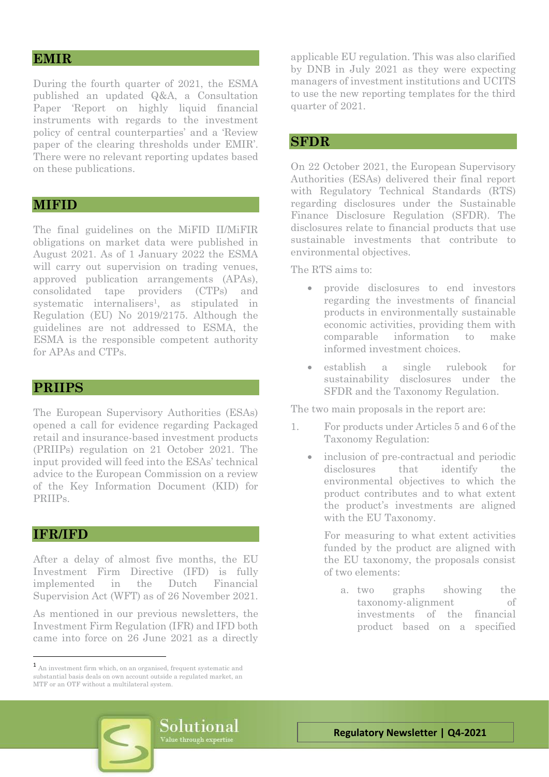## **EMIR**

During the fourth quarter of 2021, the ESMA published an updated Q&A, a Consultation Paper 'Report on highly liquid financial instruments with regards to the investment policy of central counterparties' and a 'Review paper of the clearing thresholds under EMIR'. There were no relevant reporting updates based on these publications.

#### **MIFID**

The final guidelines on the MiFID II/MiFIR obligations on market data were published in August 2021. As of 1 January 2022 the ESMA will carry out supervision on trading venues, approved publication arrangements (APAs), consolidated tape providers (CTPs) and systematic internalisers<sup>1</sup>, as stipulated in Regulation (EU) No 2019/2175. Although the guidelines are not addressed to ESMA, the ESMA is the responsible competent authority for APAs and CTPs.

#### **PRIIPS**

The European Supervisory Authorities (ESAs) opened a call for evidence regarding Packaged retail and insurance-based investment products (PRIIPs) regulation on 21 October 2021. The input provided will feed into the ESAs' technical advice to the European Commission on a review of the Key Information Document (KID) for PRIIPs.

#### **IFR/IFD**

After a delay of almost five months, the EU Investment Firm Directive (IFD) is fully implemented in the Dutch Financial Supervision Act (WFT) as of 26 November 2021.

As mentioned in our previous newsletters, the Investment Firm Regulation (IFR) and IFD both came into force on 26 June 2021 as a directly

applicable EU regulation. This was also clarified by DNB in July 2021 as they were expecting managers of investment institutions and UCITS to use the new reporting templates for the third quarter of 2021.

#### **SFDR**

On 22 October 2021, the European Supervisory Authorities (ESAs) delivered their final report with Regulatory Technical Standards (RTS) regarding disclosures under the Sustainable Finance Disclosure Regulation (SFDR). The disclosures relate to financial products that use sustainable investments that contribute to environmental objectives.

The RTS aims to:

- provide disclosures to end investors regarding the investments of financial products in environmentally sustainable economic activities, providing them with comparable information to make informed investment choices.
- establish a single rulebook for sustainability disclosures under the SFDR and the Taxonomy Regulation.

The two main proposals in the report are:

- 1. For products under Articles 5 and 6 of the Taxonomy Regulation:
	- inclusion of pre-contractual and periodic disclosures that identify the environmental objectives to which the product contributes and to what extent the product's investments are aligned with the EU Taxonomy.

For measuring to what extent activities funded by the product are aligned with the EU taxonomy, the proposals consist of two elements:

a. two graphs showing the taxonomy-alignment of investments of the financial product based on a specified



 $\mbox{\bf 1}$  An investment firm which, on an organised, frequent systematic and substantial basis deals on own account outside a regulated market, an MTF or an OTF without a multilateral system.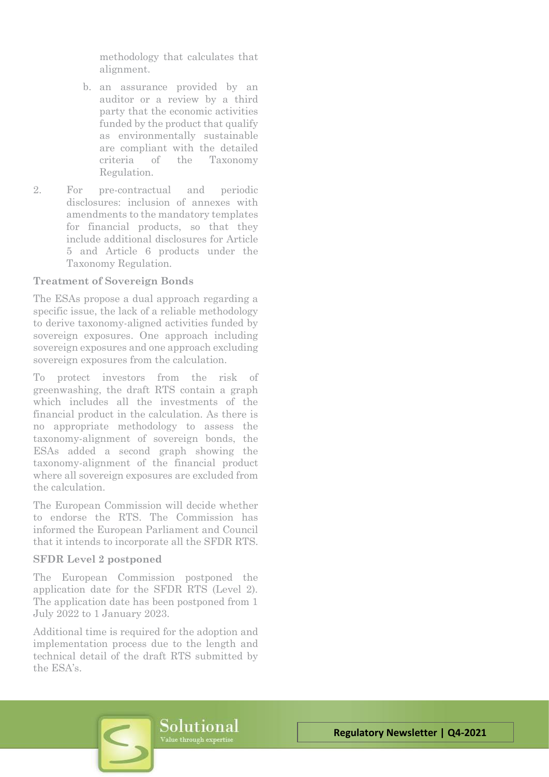methodology that calculates that alignment.

- b. an assurance provided by an auditor or a review by a third party that the economic activities funded by the product that qualify as environmentally sustainable are compliant with the detailed criteria of the Taxonomy Regulation.
- 2. For pre-contractual and periodic disclosures: inclusion of annexes with amendments to the mandatory templates for financial products, so that they include additional disclosures for Article 5 and Article 6 products under the Taxonomy Regulation.

#### **Treatment of Sovereign Bonds**

The ESAs propose a dual approach regarding a specific issue, the lack of a reliable methodology to derive taxonomy-aligned activities funded by sovereign exposures. One approach including sovereign exposures and one approach excluding sovereign exposures from the calculation.

To protect investors from the risk of greenwashing, the draft RTS contain a graph which includes all the investments of the financial product in the calculation. As there is no appropriate methodology to assess the taxonomy-alignment of sovereign bonds, the ESAs added a second graph showing the taxonomy-alignment of the financial product where all sovereign exposures are excluded from the calculation.

The European Commission will decide whether to endorse the RTS. The Commission has informed the European Parliament and Council that it intends to incorporate all the SFDR RTS.

#### **SFDR Level 2 postponed**

The European Commission postponed the application date for the SFDR RTS (Level 2). The application date has been postponed from 1 July 2022 to 1 January 2023.

Additional time is required for the adoption and implementation process due to the length and technical detail of the draft RTS submitted by the ESA's.